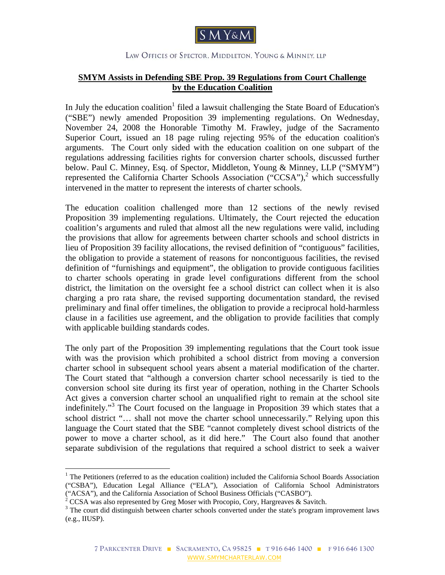

## LAW OFFICES OF SPECTOR, MIDDLETON, YOUNG & MINNEY, LLP

## **SMYM Assists in Defending SBE Prop. 39 Regulations from Court Challenge by the Education Coalition**

In July the education coalition<sup>1</sup> filed a lawsuit challenging the State Board of Education's ("SBE") newly amended Proposition 39 implementing regulations. On Wednesday, November 24, 2008 the Honorable Timothy M. Frawley, judge of the Sacramento Superior Court, issued an 18 page ruling rejecting 95% of the education coalition's arguments. The Court only sided with the education coalition on one subpart of the regulations addressing facilities rights for conversion charter schools, discussed further below. Paul C. Minney, Esq. of Spector, Middleton, Young & Minney, LLP ("SMYM") represented the California Charter Schools Association ("CCSA"),<sup>2</sup> which successfully intervened in the matter to represent the interests of charter schools.

The education coalition challenged more than 12 sections of the newly revised Proposition 39 implementing regulations. Ultimately, the Court rejected the education coalition's arguments and ruled that almost all the new regulations were valid, including the provisions that allow for agreements between charter schools and school districts in lieu of Proposition 39 facility allocations, the revised definition of "contiguous" facilities, the obligation to provide a statement of reasons for noncontiguous facilities, the revised definition of "furnishings and equipment", the obligation to provide contiguous facilities to charter schools operating in grade level configurations different from the school district, the limitation on the oversight fee a school district can collect when it is also charging a pro rata share, the revised supporting documentation standard, the revised preliminary and final offer timelines, the obligation to provide a reciprocal hold-harmless clause in a facilities use agreement, and the obligation to provide facilities that comply with applicable building standards codes.

The only part of the Proposition 39 implementing regulations that the Court took issue with was the provision which prohibited a school district from moving a conversion charter school in subsequent school years absent a material modification of the charter. The Court stated that "although a conversion charter school necessarily is tied to the conversion school site during its first year of operation, nothing in the Charter Schools Act gives a conversion charter school an unqualified right to remain at the school site indefinitely."<sup>3</sup> The Court focused on the language in Proposition 39 which states that a school district "… shall not move the charter school unnecessarily." Relying upon this language the Court stated that the SBE "cannot completely divest school districts of the power to move a charter school, as it did here." The Court also found that another separate subdivision of the regulations that required a school district to seek a waiver

 $\overline{a}$ 

<sup>&</sup>lt;sup>1</sup> The Petitioners (referred to as the education coalition) included the California School Boards Association ("CSBA"), Education Legal Alliance ("ELA"), Association of California School Administrators

<sup>(&</sup>quot;ACSA"), and the California Association of School Business Officials ("CASBO").<br>
<sup>2</sup> CCSA was also represented by Greg Moser with Procopio, Cory, Hargreaves & Savitch.<br>
<sup>3</sup> The court did distinguish between abortar schoo

 $3$  The court did distinguish between charter schools converted under the state's program improvement laws (e.g., IIUSP).